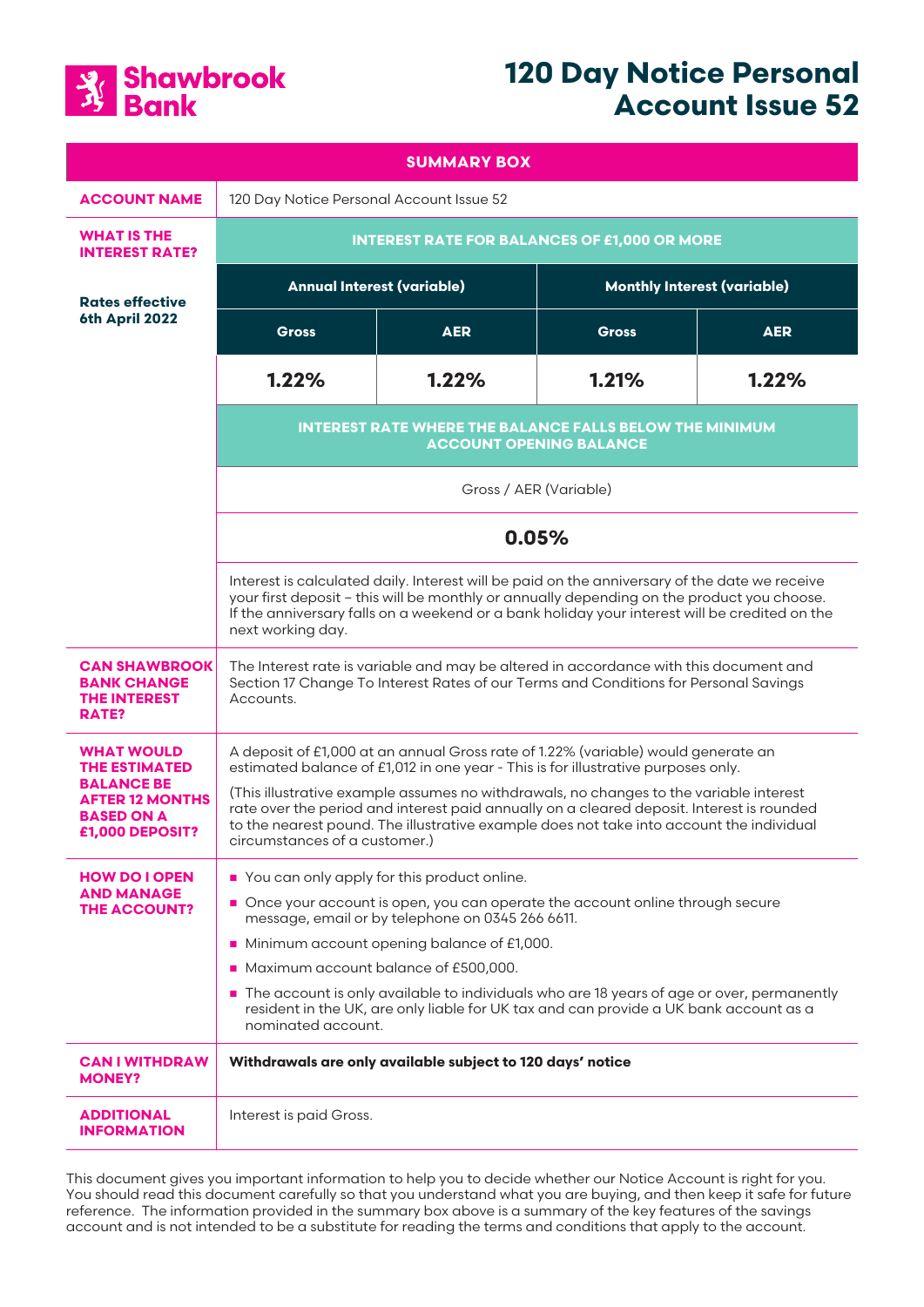

# **120 Day Notice Personal Account Issue 52**

| <b>SUMMARY BOX</b>                                                                                                               |                                                                                                                                                                                                                                                                                                                                                                                                                                                                                            |            |                                    |            |
|----------------------------------------------------------------------------------------------------------------------------------|--------------------------------------------------------------------------------------------------------------------------------------------------------------------------------------------------------------------------------------------------------------------------------------------------------------------------------------------------------------------------------------------------------------------------------------------------------------------------------------------|------------|------------------------------------|------------|
| <b>ACCOUNT NAME</b>                                                                                                              | 120 Day Notice Personal Account Issue 52                                                                                                                                                                                                                                                                                                                                                                                                                                                   |            |                                    |            |
| <b>WHAT IS THE</b><br><b>INTEREST RATE?</b>                                                                                      | <b>INTEREST RATE FOR BALANCES OF £1,000 OR MORE</b>                                                                                                                                                                                                                                                                                                                                                                                                                                        |            |                                    |            |
| <b>Rates effective</b><br>6th April 2022                                                                                         | <b>Annual Interest (variable)</b>                                                                                                                                                                                                                                                                                                                                                                                                                                                          |            | <b>Monthly Interest (variable)</b> |            |
|                                                                                                                                  | <b>Gross</b>                                                                                                                                                                                                                                                                                                                                                                                                                                                                               | <b>AER</b> | <b>Gross</b>                       | <b>AER</b> |
|                                                                                                                                  | 1.22%                                                                                                                                                                                                                                                                                                                                                                                                                                                                                      | 1.22%      | 1.21%                              | 1.22%      |
|                                                                                                                                  | <b>INTEREST RATE WHERE THE BALANCE FALLS BELOW THE MINIMUM</b><br><b>ACCOUNT OPENING BALANCE</b>                                                                                                                                                                                                                                                                                                                                                                                           |            |                                    |            |
|                                                                                                                                  | Gross / AER (Variable)                                                                                                                                                                                                                                                                                                                                                                                                                                                                     |            |                                    |            |
|                                                                                                                                  | 0.05%                                                                                                                                                                                                                                                                                                                                                                                                                                                                                      |            |                                    |            |
|                                                                                                                                  | Interest is calculated daily. Interest will be paid on the anniversary of the date we receive<br>your first deposit - this will be monthly or annually depending on the product you choose.<br>If the anniversary falls on a weekend or a bank holiday your interest will be credited on the<br>next working day.                                                                                                                                                                          |            |                                    |            |
| <b>CAN SHAWBROOK</b><br><b>BANK CHANGE</b><br><b>THE INTEREST</b><br><b>RATE?</b>                                                | The Interest rate is variable and may be altered in accordance with this document and<br>Section 17 Change To Interest Rates of our Terms and Conditions for Personal Savings<br>Accounts.                                                                                                                                                                                                                                                                                                 |            |                                    |            |
| <b>WHAT WOULD</b><br><b>THE ESTIMATED</b><br><b>BALANCE BE</b><br><b>AFTER 12 MONTHS</b><br><b>BASED ON A</b><br>£1,000 DEPOSIT? | A deposit of £1,000 at an annual Gross rate of 1.22% (variable) would generate an<br>estimated balance of £1,012 in one year - This is for illustrative purposes only.<br>(This illustrative example assumes no withdrawals, no changes to the variable interest<br>rate over the period and interest paid annually on a cleared deposit. Interest is rounded<br>to the nearest pound. The illustrative example does not take into account the individual<br>circumstances of a customer.) |            |                                    |            |
| <b>HOW DO I OPEN</b><br><b>AND MANAGE</b><br><b>THE ACCOUNT?</b>                                                                 | You can only apply for this product online.<br>Once your account is open, you can operate the account online through secure<br>message, email or by telephone on 0345 266 6611.<br>Minimum account opening balance of £1,000.<br>Maximum account balance of £500,000.<br>The account is only available to individuals who are 18 years of age or over, permanently<br>resident in the UK, are only liable for UK tax and can provide a UK bank account as a<br>nominated account.          |            |                                    |            |
| <b>CAN I WITHDRAW</b><br><b>MONEY?</b>                                                                                           | Withdrawals are only available subject to 120 days' notice                                                                                                                                                                                                                                                                                                                                                                                                                                 |            |                                    |            |
| <b>ADDITIONAL</b><br><b>INFORMATION</b>                                                                                          | Interest is paid Gross.                                                                                                                                                                                                                                                                                                                                                                                                                                                                    |            |                                    |            |

This document gives you important information to help you to decide whether our Notice Account is right for you. You should read this document carefully so that you understand what you are buying, and then keep it safe for future reference. The information provided in the summary box above is a summary of the key features of the savings account and is not intended to be a substitute for reading the terms and conditions that apply to the account.